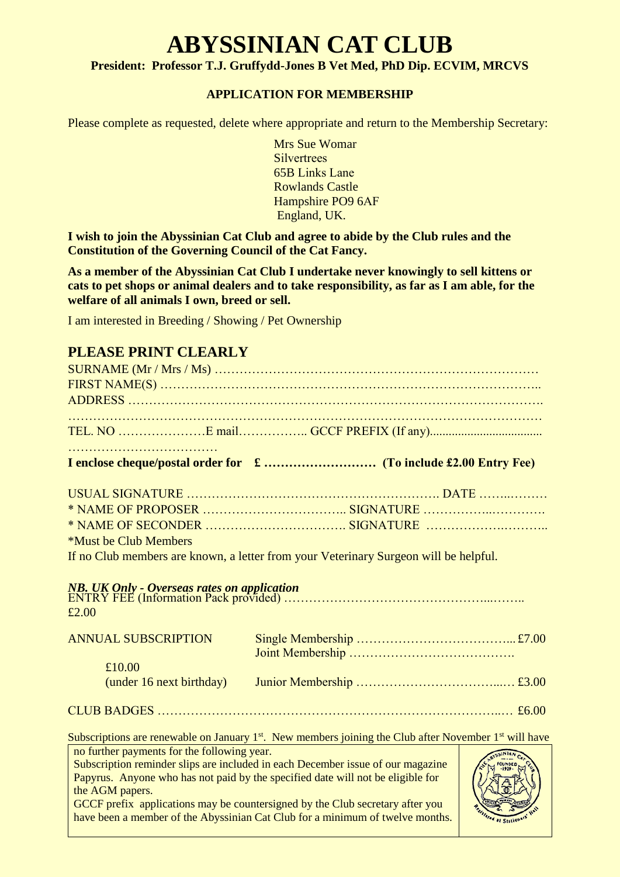## **ABYSSINIAN CAT CLUB**

**President: Professor T.J. Gruffydd-Jones B Vet Med, PhD Dip. ECVIM, MRCVS**

## **APPLICATION FOR MEMBERSHIP**

Please complete as requested, delete where appropriate and return to the Membership Secretary:

Mrs Sue Womar **Silvertrees** 65B Links Lane Rowlands Castle Hampshire PO9 6AF England, UK.

**I wish to join the Abyssinian Cat Club and agree to abide by the Club rules and the Constitution of the Governing Council of the Cat Fancy.**

**As a member of the Abyssinian Cat Club I undertake never knowingly to sell kittens or cats to pet shops or animal dealers and to take responsibility, as far as I am able, for the welfare of all animals I own, breed or sell.**

I am interested in Breeding / Showing / Pet Ownership

## **PLEASE PRINT CLEARLY**

| <i>*Must be Club Members</i> |                                                                                      |
|------------------------------|--------------------------------------------------------------------------------------|
|                              | If no Club members are known, a letter from your Veterinary Surgeon will be helpful. |
| £2.00                        |                                                                                      |
| <b>ANNUAL SUBSCRIPTION</b>   |                                                                                      |
| £10.00                       |                                                                                      |
| (under 16 next birthday)     |                                                                                      |
|                              |                                                                                      |
|                              |                                                                                      |

Subscriptions are renewable on January  $1<sup>st</sup>$ . New members joining the Club after November  $1<sup>st</sup>$  will have

no further payments for the following year. Subscription reminder slips are included in each December issue of our magazine Papyrus. Anyone who has not paid by the specified date will not be eligible for the AGM papers. GCCF prefix applications may be countersigned by the Club secretary after you have been a member of the Abyssinian Cat Club for a minimum of twelve months.